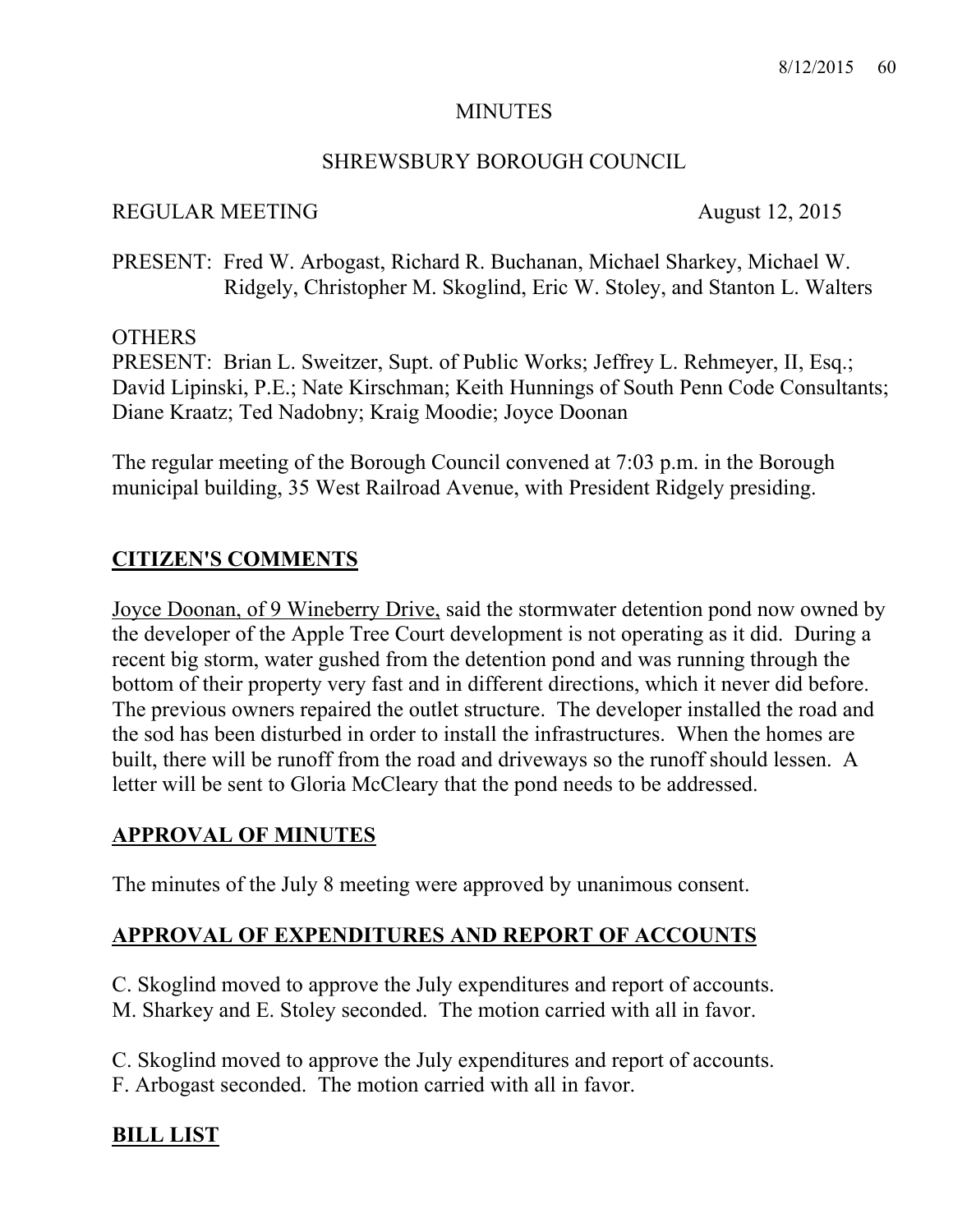### MINUTES

## SHREWSBURY BOROUGH COUNCIL

### REGULAR MEETING August 12, 2015

PRESENT: Fred W. Arbogast, Richard R. Buchanan, Michael Sharkey, Michael W. Ridgely, Christopher M. Skoglind, Eric W. Stoley, and Stanton L. Walters

### **OTHERS**

PRESENT: Brian L. Sweitzer, Supt. of Public Works; Jeffrey L. Rehmeyer, II, Esq.; David Lipinski, P.E.; Nate Kirschman; Keith Hunnings of South Penn Code Consultants; Diane Kraatz; Ted Nadobny; Kraig Moodie; Joyce Doonan

The regular meeting of the Borough Council convened at 7:03 p.m. in the Borough municipal building, 35 West Railroad Avenue, with President Ridgely presiding.

# **CITIZEN'S COMMENTS**

Joyce Doonan, of 9 Wineberry Drive, said the stormwater detention pond now owned by the developer of the Apple Tree Court development is not operating as it did. During a recent big storm, water gushed from the detention pond and was running through the bottom of their property very fast and in different directions, which it never did before. The previous owners repaired the outlet structure. The developer installed the road and the sod has been disturbed in order to install the infrastructures. When the homes are built, there will be runoff from the road and driveways so the runoff should lessen. A letter will be sent to Gloria McCleary that the pond needs to be addressed.

## **APPROVAL OF MINUTES**

The minutes of the July 8 meeting were approved by unanimous consent.

# **APPROVAL OF EXPENDITURES AND REPORT OF ACCOUNTS**

C. Skoglind moved to approve the July expenditures and report of accounts. M. Sharkey and E. Stoley seconded. The motion carried with all in favor.

C. Skoglind moved to approve the July expenditures and report of accounts. F. Arbogast seconded. The motion carried with all in favor.

# **BILL LIST**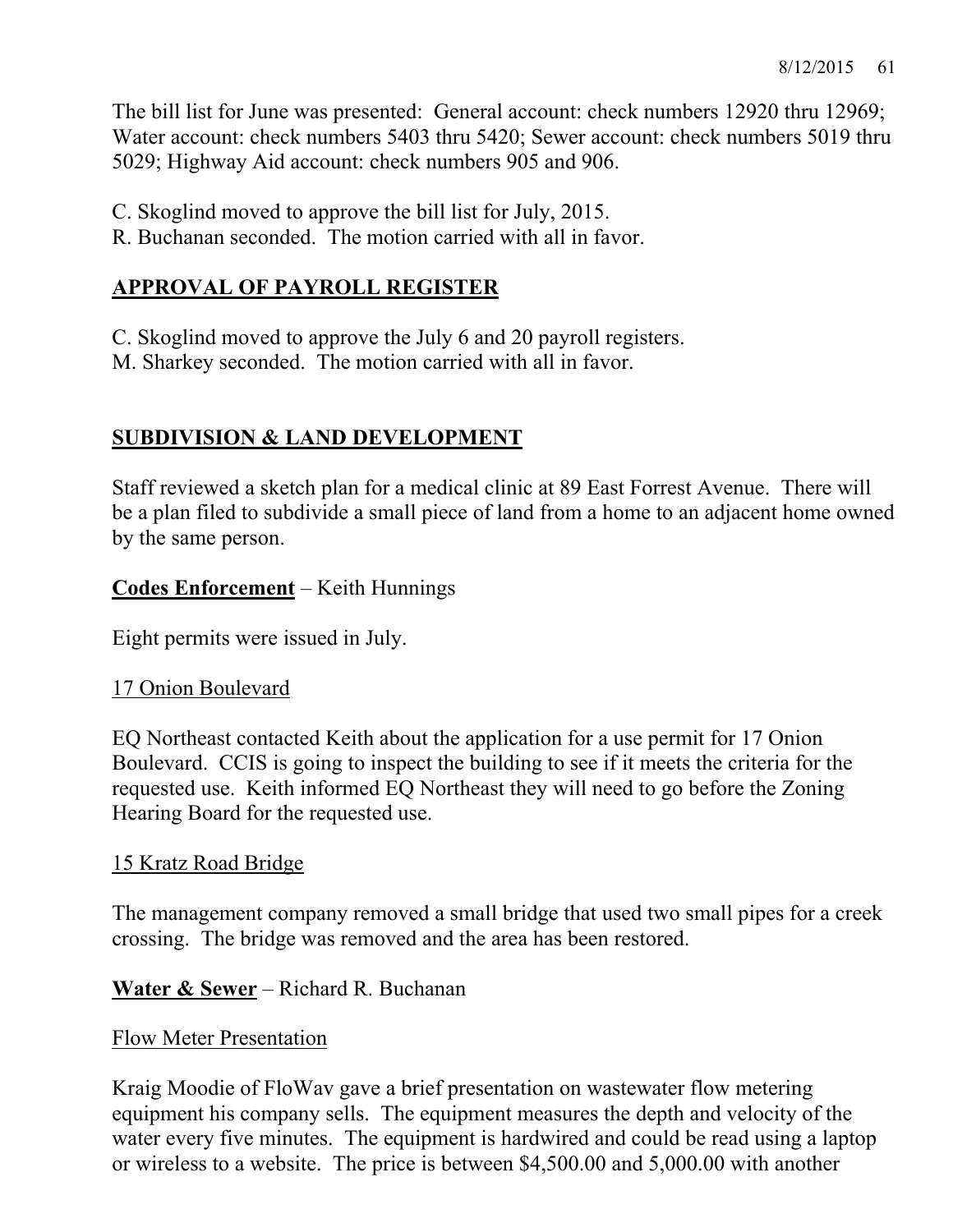The bill list for June was presented: General account: check numbers 12920 thru 12969; Water account: check numbers 5403 thru 5420; Sewer account: check numbers 5019 thru 5029; Highway Aid account: check numbers 905 and 906.

C. Skoglind moved to approve the bill list for July, 2015.

R. Buchanan seconded. The motion carried with all in favor.

# **APPROVAL OF PAYROLL REGISTER**

C. Skoglind moved to approve the July 6 and 20 payroll registers.

M. Sharkey seconded. The motion carried with all in favor.

# **SUBDIVISION & LAND DEVELOPMENT**

Staff reviewed a sketch plan for a medical clinic at 89 East Forrest Avenue. There will be a plan filed to subdivide a small piece of land from a home to an adjacent home owned by the same person.

# **Codes Enforcement** – Keith Hunnings

Eight permits were issued in July.

# 17 Onion Boulevard

EQ Northeast contacted Keith about the application for a use permit for 17 Onion Boulevard. CCIS is going to inspect the building to see if it meets the criteria for the requested use. Keith informed EQ Northeast they will need to go before the Zoning Hearing Board for the requested use.

# 15 Kratz Road Bridge

The management company removed a small bridge that used two small pipes for a creek crossing. The bridge was removed and the area has been restored.

## **Water & Sewer** – Richard R. Buchanan

## Flow Meter Presentation

Kraig Moodie of FloWav gave a brief presentation on wastewater flow metering equipment his company sells. The equipment measures the depth and velocity of the water every five minutes. The equipment is hardwired and could be read using a laptop or wireless to a website. The price is between \$4,500.00 and 5,000.00 with another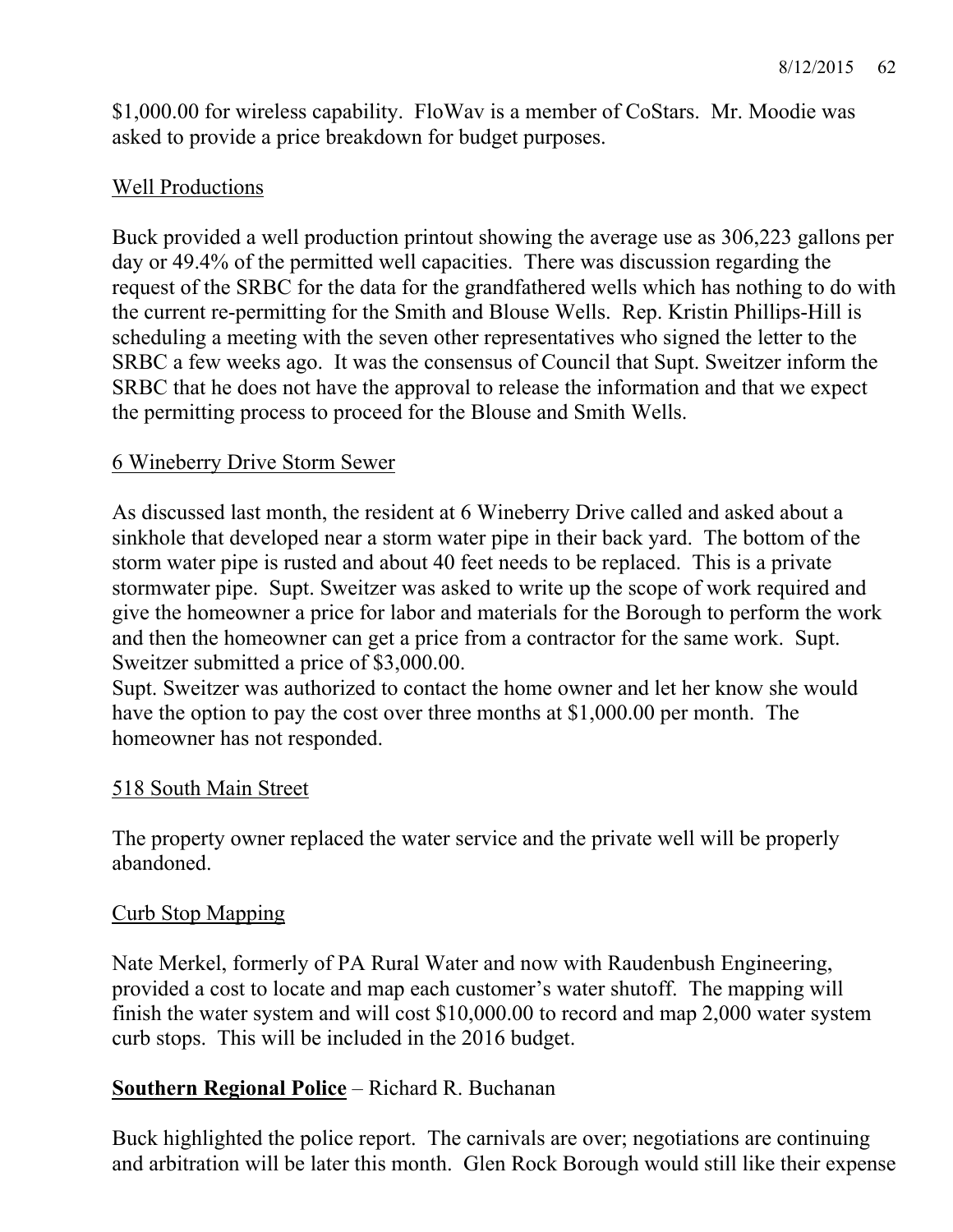\$1,000.00 for wireless capability. FloWav is a member of CoStars. Mr. Moodie was asked to provide a price breakdown for budget purposes.

# Well Productions

Buck provided a well production printout showing the average use as 306,223 gallons per day or 49.4% of the permitted well capacities. There was discussion regarding the request of the SRBC for the data for the grandfathered wells which has nothing to do with the current re-permitting for the Smith and Blouse Wells. Rep. Kristin Phillips-Hill is scheduling a meeting with the seven other representatives who signed the letter to the SRBC a few weeks ago. It was the consensus of Council that Supt. Sweitzer inform the SRBC that he does not have the approval to release the information and that we expect the permitting process to proceed for the Blouse and Smith Wells.

# 6 Wineberry Drive Storm Sewer

As discussed last month, the resident at 6 Wineberry Drive called and asked about a sinkhole that developed near a storm water pipe in their back yard. The bottom of the storm water pipe is rusted and about 40 feet needs to be replaced. This is a private stormwater pipe. Supt. Sweitzer was asked to write up the scope of work required and give the homeowner a price for labor and materials for the Borough to perform the work and then the homeowner can get a price from a contractor for the same work. Supt. Sweitzer submitted a price of \$3,000.00.

Supt. Sweitzer was authorized to contact the home owner and let her know she would have the option to pay the cost over three months at \$1,000.00 per month. The homeowner has not responded.

## 518 South Main Street

The property owner replaced the water service and the private well will be properly abandoned.

## Curb Stop Mapping

Nate Merkel, formerly of PA Rural Water and now with Raudenbush Engineering, provided a cost to locate and map each customer's water shutoff. The mapping will finish the water system and will cost \$10,000.00 to record and map 2,000 water system curb stops. This will be included in the 2016 budget.

# **Southern Regional Police** – Richard R. Buchanan

Buck highlighted the police report. The carnivals are over; negotiations are continuing and arbitration will be later this month. Glen Rock Borough would still like their expense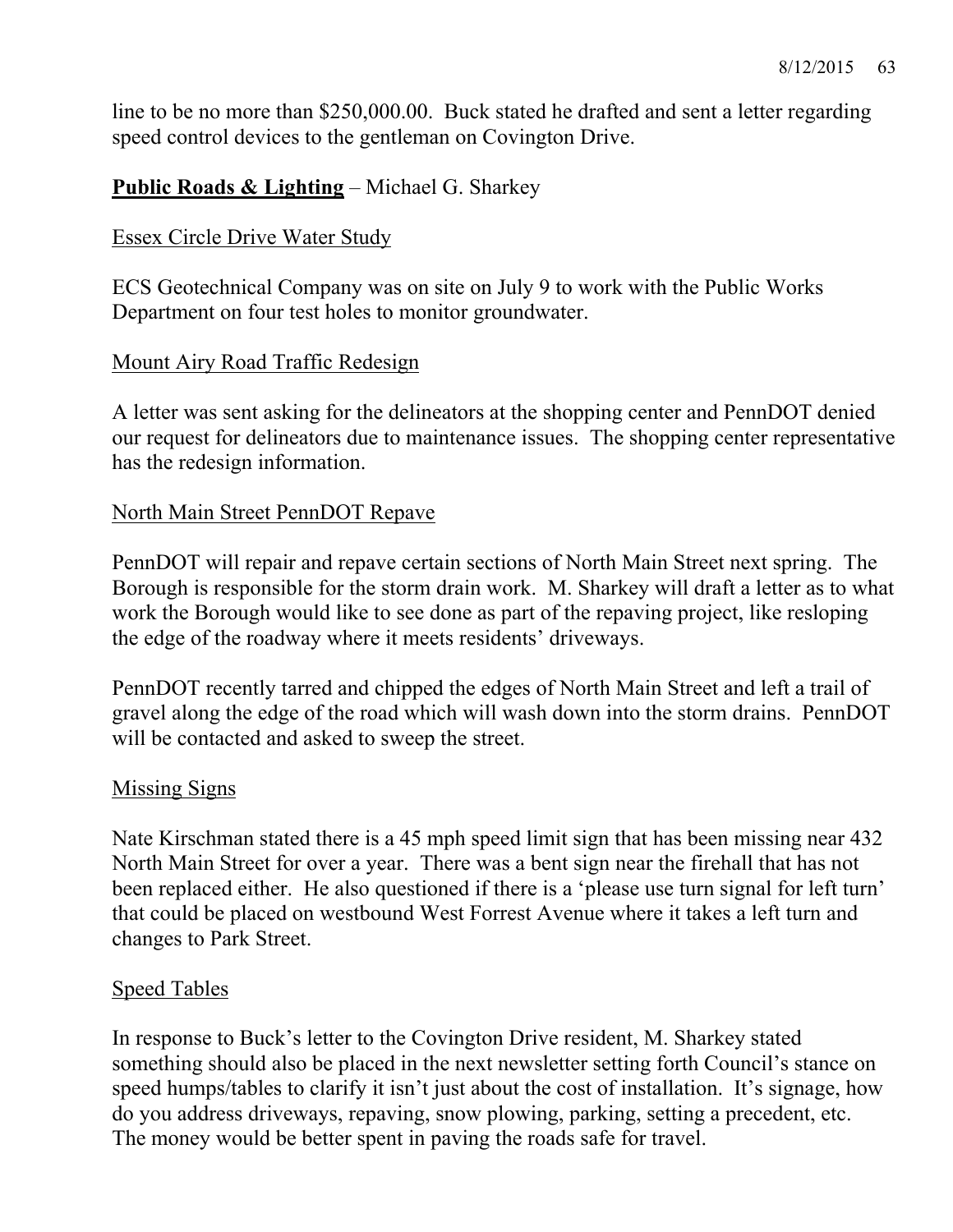line to be no more than \$250,000.00. Buck stated he drafted and sent a letter regarding speed control devices to the gentleman on Covington Drive.

# **Public Roads & Lighting** – Michael G. Sharkey

### Essex Circle Drive Water Study

ECS Geotechnical Company was on site on July 9 to work with the Public Works Department on four test holes to monitor groundwater.

### Mount Airy Road Traffic Redesign

A letter was sent asking for the delineators at the shopping center and PennDOT denied our request for delineators due to maintenance issues. The shopping center representative has the redesign information.

### North Main Street PennDOT Repave

PennDOT will repair and repave certain sections of North Main Street next spring. The Borough is responsible for the storm drain work. M. Sharkey will draft a letter as to what work the Borough would like to see done as part of the repaving project, like resloping the edge of the roadway where it meets residents' driveways.

PennDOT recently tarred and chipped the edges of North Main Street and left a trail of gravel along the edge of the road which will wash down into the storm drains. PennDOT will be contacted and asked to sweep the street.

#### Missing Signs

Nate Kirschman stated there is a 45 mph speed limit sign that has been missing near 432 North Main Street for over a year. There was a bent sign near the firehall that has not been replaced either. He also questioned if there is a 'please use turn signal for left turn' that could be placed on westbound West Forrest Avenue where it takes a left turn and changes to Park Street.

#### Speed Tables

In response to Buck's letter to the Covington Drive resident, M. Sharkey stated something should also be placed in the next newsletter setting forth Council's stance on speed humps/tables to clarify it isn't just about the cost of installation. It's signage, how do you address driveways, repaving, snow plowing, parking, setting a precedent, etc. The money would be better spent in paving the roads safe for travel.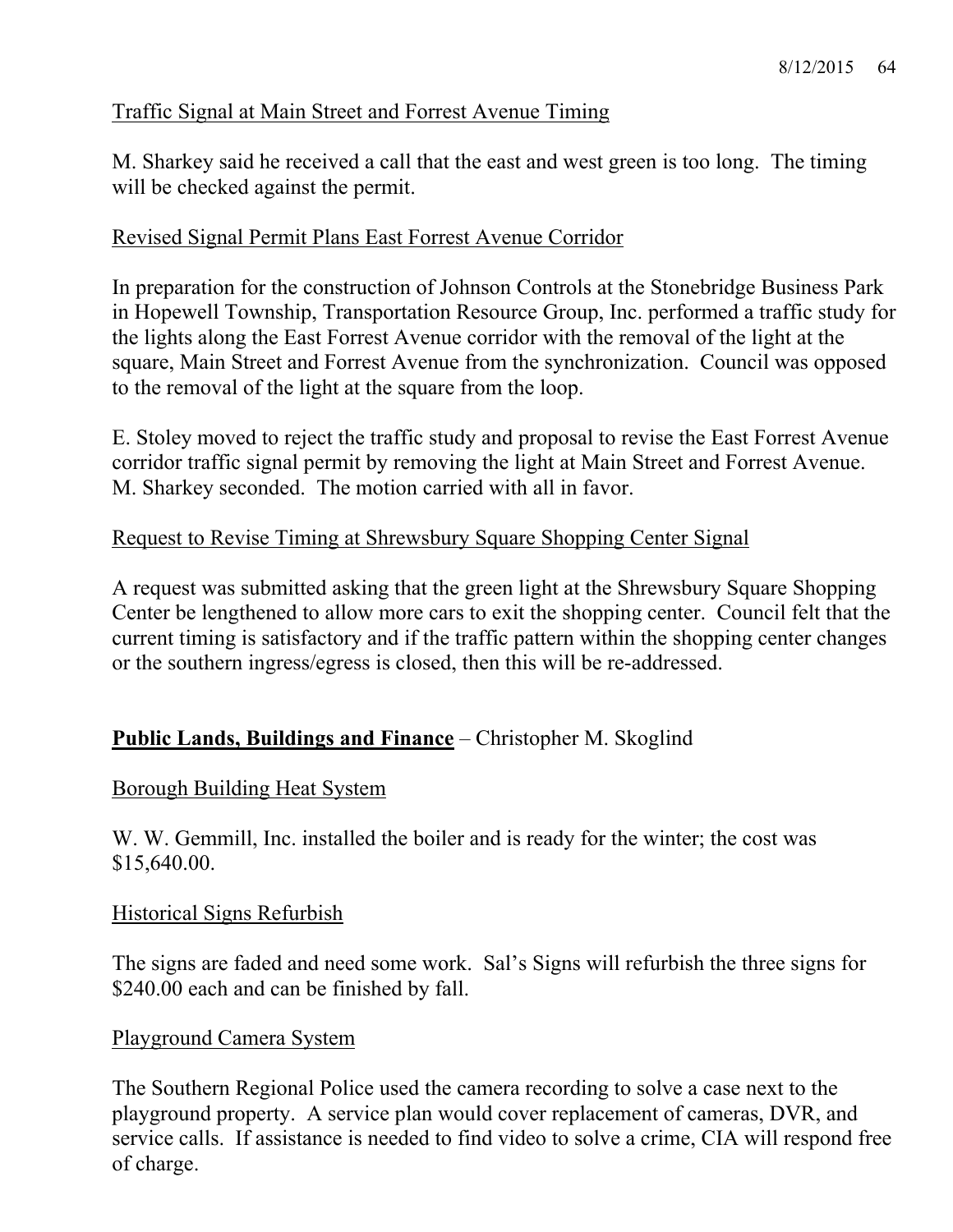# Traffic Signal at Main Street and Forrest Avenue Timing

M. Sharkey said he received a call that the east and west green is too long. The timing will be checked against the permit.

## Revised Signal Permit Plans East Forrest Avenue Corridor

In preparation for the construction of Johnson Controls at the Stonebridge Business Park in Hopewell Township, Transportation Resource Group, Inc. performed a traffic study for the lights along the East Forrest Avenue corridor with the removal of the light at the square, Main Street and Forrest Avenue from the synchronization. Council was opposed to the removal of the light at the square from the loop.

E. Stoley moved to reject the traffic study and proposal to revise the East Forrest Avenue corridor traffic signal permit by removing the light at Main Street and Forrest Avenue. M. Sharkey seconded. The motion carried with all in favor.

# Request to Revise Timing at Shrewsbury Square Shopping Center Signal

A request was submitted asking that the green light at the Shrewsbury Square Shopping Center be lengthened to allow more cars to exit the shopping center. Council felt that the current timing is satisfactory and if the traffic pattern within the shopping center changes or the southern ingress/egress is closed, then this will be re-addressed.

# **Public Lands, Buildings and Finance** – Christopher M. Skoglind

## Borough Building Heat System

W. W. Gemmill, Inc. installed the boiler and is ready for the winter; the cost was \$15,640.00.

#### Historical Signs Refurbish

The signs are faded and need some work. Sal's Signs will refurbish the three signs for \$240.00 each and can be finished by fall.

#### Playground Camera System

The Southern Regional Police used the camera recording to solve a case next to the playground property. A service plan would cover replacement of cameras, DVR, and service calls. If assistance is needed to find video to solve a crime, CIA will respond free of charge.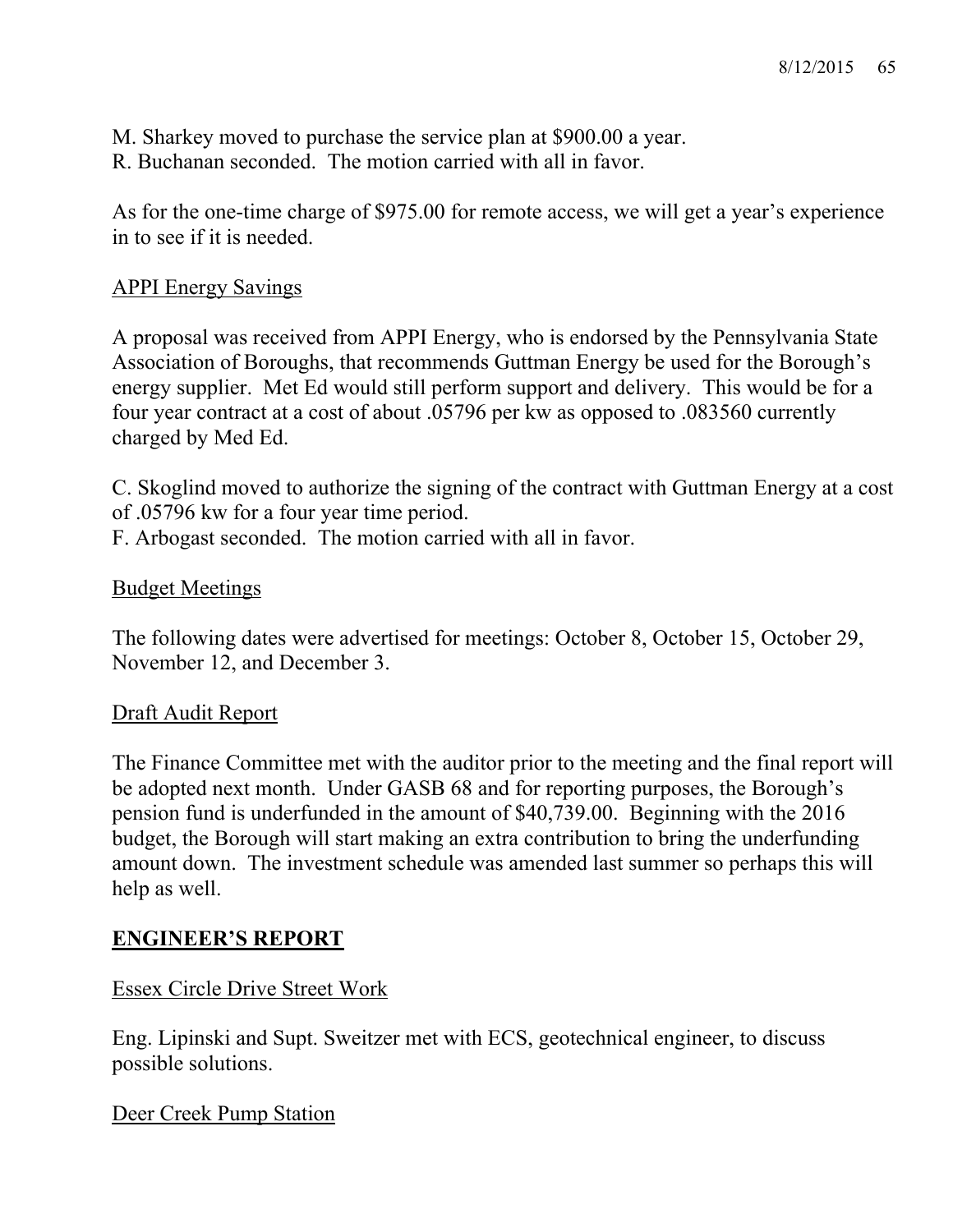M. Sharkey moved to purchase the service plan at \$900.00 a year. R. Buchanan seconded. The motion carried with all in favor.

As for the one-time charge of \$975.00 for remote access, we will get a year's experience in to see if it is needed.

### APPI Energy Savings

A proposal was received from APPI Energy, who is endorsed by the Pennsylvania State Association of Boroughs, that recommends Guttman Energy be used for the Borough's energy supplier. Met Ed would still perform support and delivery. This would be for a four year contract at a cost of about .05796 per kw as opposed to .083560 currently charged by Med Ed.

C. Skoglind moved to authorize the signing of the contract with Guttman Energy at a cost of .05796 kw for a four year time period.

F. Arbogast seconded. The motion carried with all in favor.

### Budget Meetings

The following dates were advertised for meetings: October 8, October 15, October 29, November 12, and December 3.

## Draft Audit Report

The Finance Committee met with the auditor prior to the meeting and the final report will be adopted next month. Under GASB 68 and for reporting purposes, the Borough's pension fund is underfunded in the amount of \$40,739.00. Beginning with the 2016 budget, the Borough will start making an extra contribution to bring the underfunding amount down. The investment schedule was amended last summer so perhaps this will help as well.

## **ENGINEER'S REPORT**

## Essex Circle Drive Street Work

Eng. Lipinski and Supt. Sweitzer met with ECS, geotechnical engineer, to discuss possible solutions.

Deer Creek Pump Station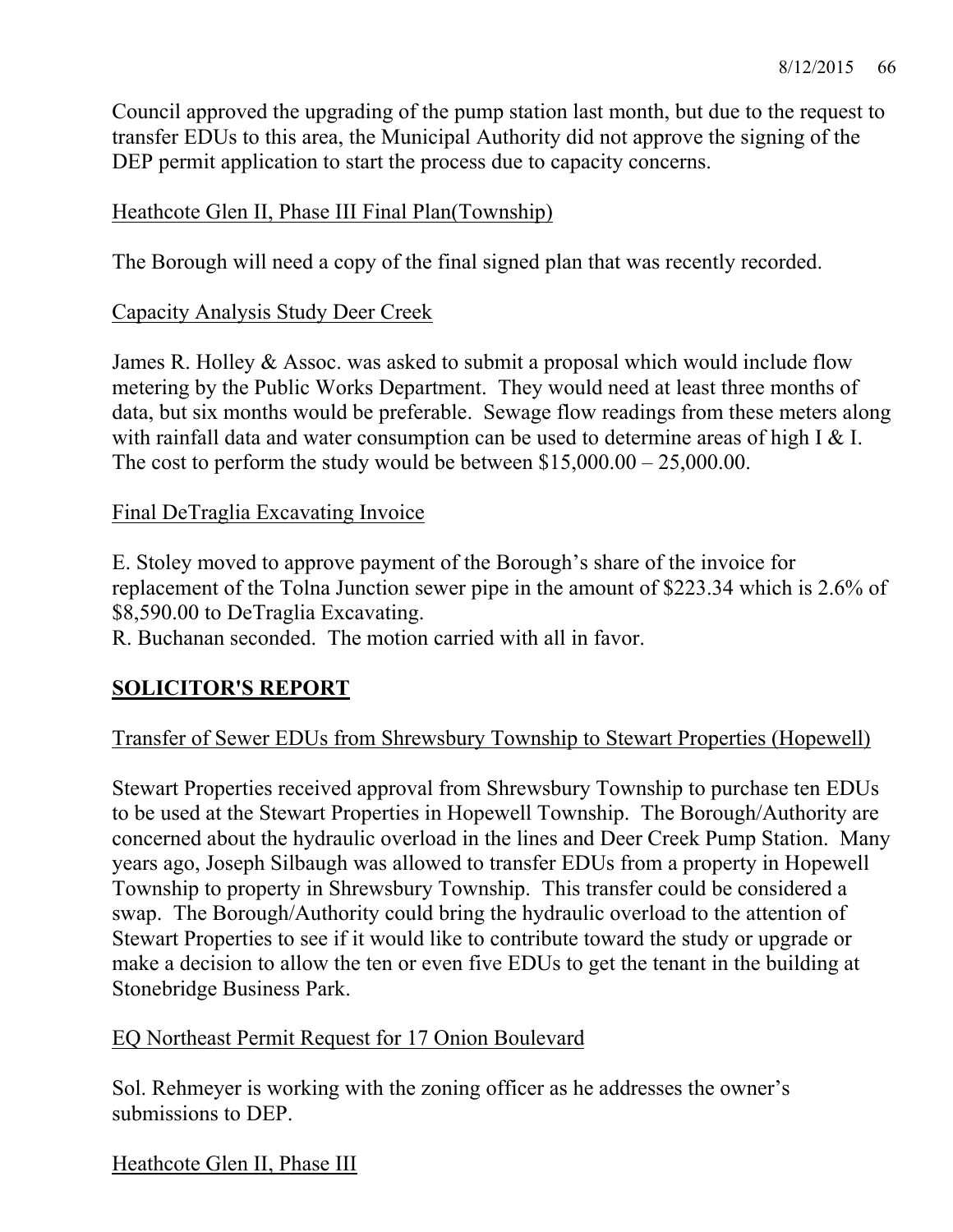Council approved the upgrading of the pump station last month, but due to the request to transfer EDUs to this area, the Municipal Authority did not approve the signing of the DEP permit application to start the process due to capacity concerns.

### Heathcote Glen II, Phase III Final Plan(Township)

The Borough will need a copy of the final signed plan that was recently recorded.

#### Capacity Analysis Study Deer Creek

James R. Holley & Assoc. was asked to submit a proposal which would include flow metering by the Public Works Department. They would need at least three months of data, but six months would be preferable. Sewage flow readings from these meters along with rainfall data and water consumption can be used to determine areas of high I & I. The cost to perform the study would be between  $$15,000.00 - 25,000.00$ .

### Final DeTraglia Excavating Invoice

E. Stoley moved to approve payment of the Borough's share of the invoice for replacement of the Tolna Junction sewer pipe in the amount of \$223.34 which is 2.6% of \$8,590.00 to DeTraglia Excavating.

R. Buchanan seconded. The motion carried with all in favor.

## **SOLICITOR'S REPORT**

## Transfer of Sewer EDUs from Shrewsbury Township to Stewart Properties (Hopewell)

Stewart Properties received approval from Shrewsbury Township to purchase ten EDUs to be used at the Stewart Properties in Hopewell Township. The Borough/Authority are concerned about the hydraulic overload in the lines and Deer Creek Pump Station. Many years ago, Joseph Silbaugh was allowed to transfer EDUs from a property in Hopewell Township to property in Shrewsbury Township. This transfer could be considered a swap. The Borough/Authority could bring the hydraulic overload to the attention of Stewart Properties to see if it would like to contribute toward the study or upgrade or make a decision to allow the ten or even five EDUs to get the tenant in the building at Stonebridge Business Park.

#### EQ Northeast Permit Request for 17 Onion Boulevard

Sol. Rehmeyer is working with the zoning officer as he addresses the owner's submissions to DEP.

Heathcote Glen II, Phase III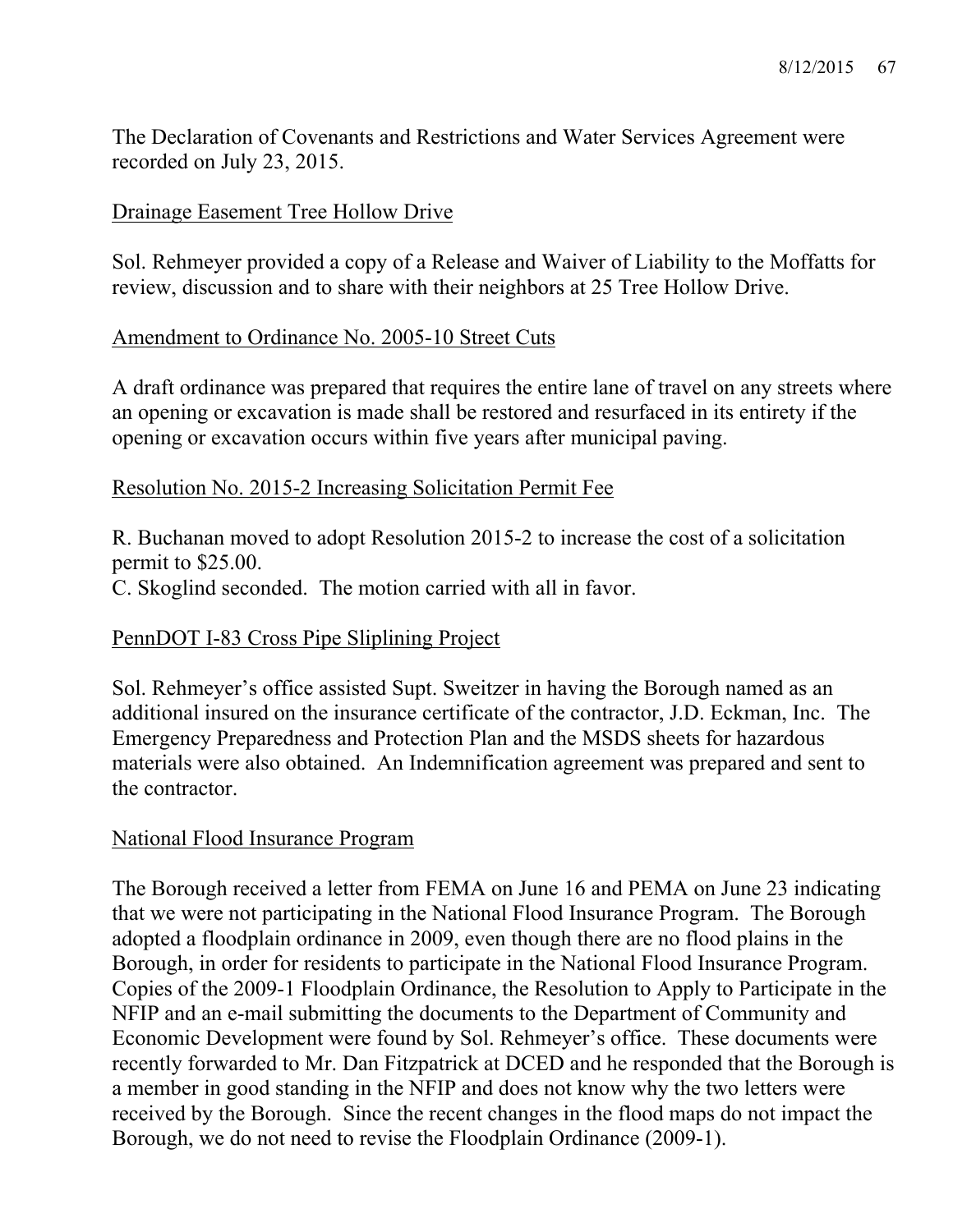The Declaration of Covenants and Restrictions and Water Services Agreement were recorded on July 23, 2015.

# Drainage Easement Tree Hollow Drive

Sol. Rehmeyer provided a copy of a Release and Waiver of Liability to the Moffatts for review, discussion and to share with their neighbors at 25 Tree Hollow Drive.

## Amendment to Ordinance No. 2005-10 Street Cuts

A draft ordinance was prepared that requires the entire lane of travel on any streets where an opening or excavation is made shall be restored and resurfaced in its entirety if the opening or excavation occurs within five years after municipal paving.

### Resolution No. 2015-2 Increasing Solicitation Permit Fee

R. Buchanan moved to adopt Resolution 2015-2 to increase the cost of a solicitation permit to \$25.00.

C. Skoglind seconded. The motion carried with all in favor.

## PennDOT I-83 Cross Pipe Sliplining Project

Sol. Rehmeyer's office assisted Supt. Sweitzer in having the Borough named as an additional insured on the insurance certificate of the contractor, J.D. Eckman, Inc. The Emergency Preparedness and Protection Plan and the MSDS sheets for hazardous materials were also obtained. An Indemnification agreement was prepared and sent to the contractor.

## National Flood Insurance Program

The Borough received a letter from FEMA on June 16 and PEMA on June 23 indicating that we were not participating in the National Flood Insurance Program. The Borough adopted a floodplain ordinance in 2009, even though there are no flood plains in the Borough, in order for residents to participate in the National Flood Insurance Program. Copies of the 2009-1 Floodplain Ordinance, the Resolution to Apply to Participate in the NFIP and an e-mail submitting the documents to the Department of Community and Economic Development were found by Sol. Rehmeyer's office. These documents were recently forwarded to Mr. Dan Fitzpatrick at DCED and he responded that the Borough is a member in good standing in the NFIP and does not know why the two letters were received by the Borough. Since the recent changes in the flood maps do not impact the Borough, we do not need to revise the Floodplain Ordinance (2009-1).